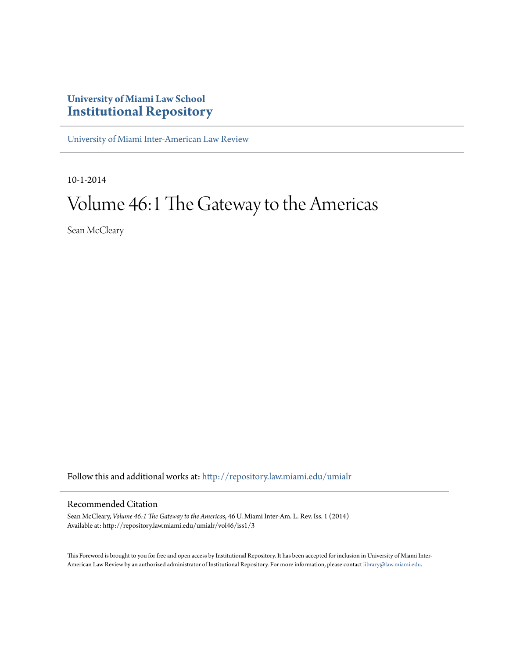## **University of Miami Law School [Institutional Repository](http://repository.law.miami.edu?utm_source=repository.law.miami.edu%2Fumialr%2Fvol46%2Fiss1%2F3&utm_medium=PDF&utm_campaign=PDFCoverPages)**

[University of Miami Inter-American Law Review](http://repository.law.miami.edu/umialr?utm_source=repository.law.miami.edu%2Fumialr%2Fvol46%2Fiss1%2F3&utm_medium=PDF&utm_campaign=PDFCoverPages)

10-1-2014

# Volume 46:1 The Gateway to the Americas

Sean McCleary

Follow this and additional works at: [http://repository.law.miami.edu/umialr](http://repository.law.miami.edu/umialr?utm_source=repository.law.miami.edu%2Fumialr%2Fvol46%2Fiss1%2F3&utm_medium=PDF&utm_campaign=PDFCoverPages)

## Recommended Citation

Sean McCleary, *Volume 46:1 The Gateway to the Americas*, 46 U. Miami Inter-Am. L. Rev. Iss. 1 (2014) Available at: http://repository.law.miami.edu/umialr/vol46/iss1/3

This Foreword is brought to you for free and open access by Institutional Repository. It has been accepted for inclusion in University of Miami Inter-American Law Review by an authorized administrator of Institutional Repository. For more information, please contact [library@law.miami.edu](mailto:library@law.miami.edu).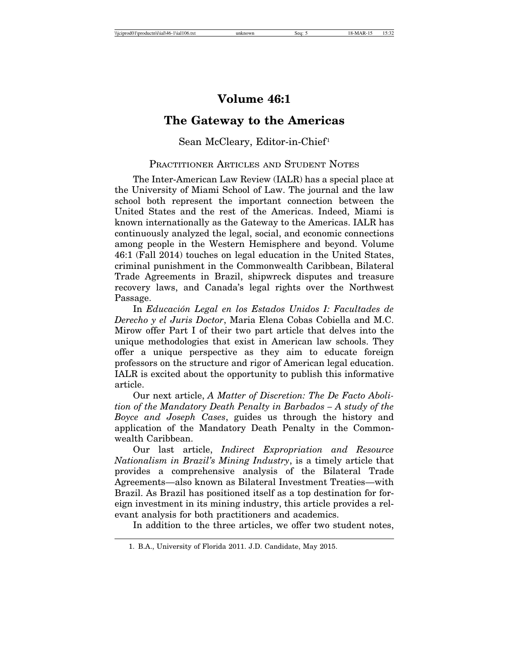## **Volume 46:1**

## **The Gateway to the Americas**

### Sean McCleary, Editor-in-Chief<sup>1</sup>

### PRACTITIONER ARTICLES AND STUDENT NOTES

The Inter-American Law Review (IALR) has a special place at the University of Miami School of Law. The journal and the law school both represent the important connection between the United States and the rest of the Americas. Indeed, Miami is known internationally as the Gateway to the Americas. IALR has continuously analyzed the legal, social, and economic connections among people in the Western Hemisphere and beyond. Volume 46:1 (Fall 2014) touches on legal education in the United States, criminal punishment in the Commonwealth Caribbean, Bilateral Trade Agreements in Brazil, shipwreck disputes and treasure recovery laws, and Canada's legal rights over the Northwest Passage.

In *Educación Legal en los Estados Unidos I: Facultades de Derecho y el Juris Doctor*, Maria Elena Cobas Cobiella and M.C. Mirow offer Part I of their two part article that delves into the unique methodologies that exist in American law schools. They offer a unique perspective as they aim to educate foreign professors on the structure and rigor of American legal education. IALR is excited about the opportunity to publish this informative article.

Our next article, *A Matter of Discretion: The De Facto Abolition of the Mandatory Death Penalty in Barbados – A study of the Boyce and Joseph Cases*, guides us through the history and application of the Mandatory Death Penalty in the Commonwealth Caribbean.

Our last article, *Indirect Expropriation and Resource Nationalism in Brazil's Mining Industry*, is a timely article that provides a comprehensive analysis of the Bilateral Trade Agreements—also known as Bilateral Investment Treaties—with Brazil. As Brazil has positioned itself as a top destination for foreign investment in its mining industry, this article provides a relevant analysis for both practitioners and academics.

In addition to the three articles, we offer two student notes,

<sup>1.</sup> B.A., University of Florida 2011. J.D. Candidate, May 2015.